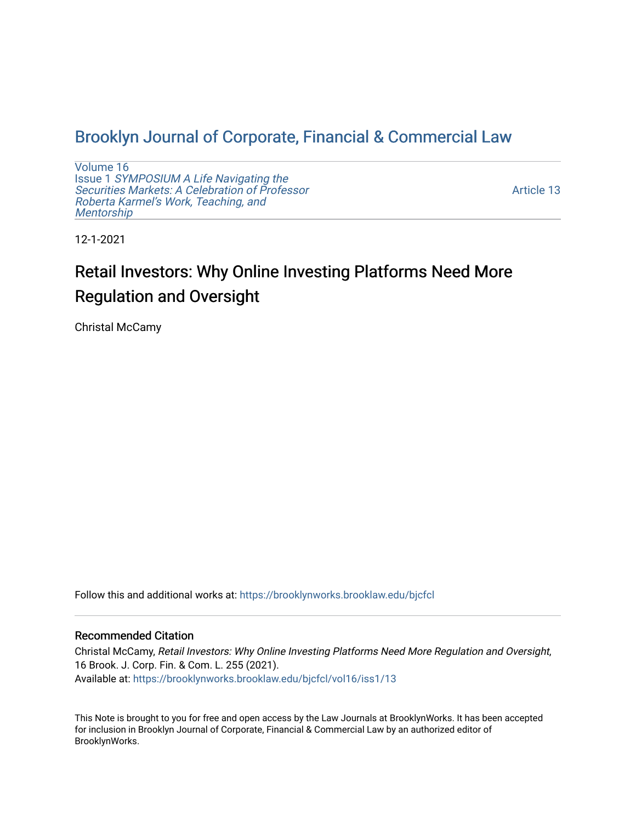## [Brooklyn Journal of Corporate, Financial & Commercial Law](https://brooklynworks.brooklaw.edu/bjcfcl)

[Volume 16](https://brooklynworks.brooklaw.edu/bjcfcl/vol16) Issue 1 [SYMPOSIUM A Life Navigating the](https://brooklynworks.brooklaw.edu/bjcfcl/vol16/iss1) [Securities Markets: A Celebration of Professor](https://brooklynworks.brooklaw.edu/bjcfcl/vol16/iss1) [Roberta Karmel's Work, Teaching, and](https://brooklynworks.brooklaw.edu/bjcfcl/vol16/iss1)  **Mentorship** 

[Article 13](https://brooklynworks.brooklaw.edu/bjcfcl/vol16/iss1/13) 

12-1-2021

# Retail Investors: Why Online Investing Platforms Need More Regulation and Oversight

Christal McCamy

Follow this and additional works at: [https://brooklynworks.brooklaw.edu/bjcfcl](https://brooklynworks.brooklaw.edu/bjcfcl?utm_source=brooklynworks.brooklaw.edu%2Fbjcfcl%2Fvol16%2Fiss1%2F13&utm_medium=PDF&utm_campaign=PDFCoverPages)

#### Recommended Citation

Christal McCamy, Retail Investors: Why Online Investing Platforms Need More Regulation and Oversight, 16 Brook. J. Corp. Fin. & Com. L. 255 (2021). Available at: [https://brooklynworks.brooklaw.edu/bjcfcl/vol16/iss1/13](https://brooklynworks.brooklaw.edu/bjcfcl/vol16/iss1/13?utm_source=brooklynworks.brooklaw.edu%2Fbjcfcl%2Fvol16%2Fiss1%2F13&utm_medium=PDF&utm_campaign=PDFCoverPages) 

This Note is brought to you for free and open access by the Law Journals at BrooklynWorks. It has been accepted for inclusion in Brooklyn Journal of Corporate, Financial & Commercial Law by an authorized editor of BrooklynWorks.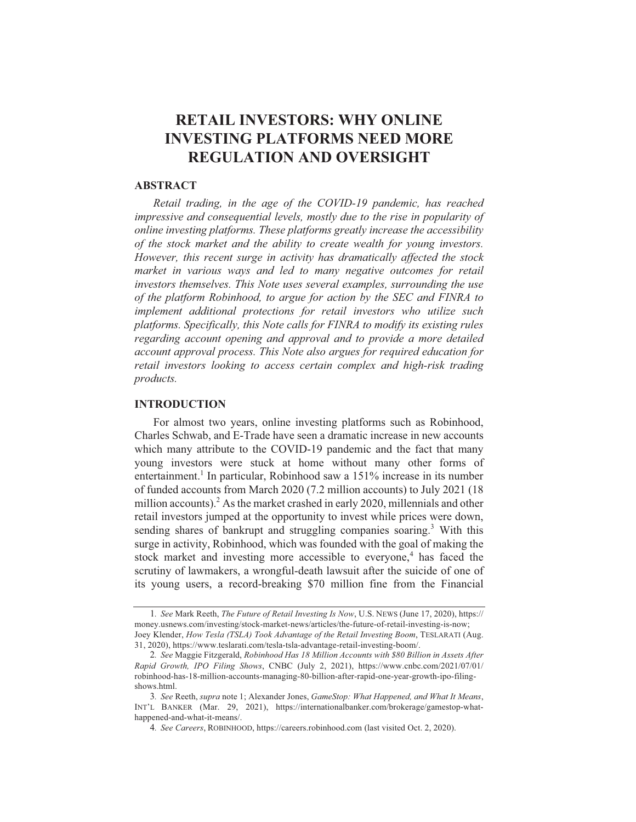### **RETAIL INVESTORS: WHY ONLINE INVESTING PLATFORMS NEED MORE REGULATION AND OVERSIGHT**

#### **ABSTRACT**

Retail trading, in the age of the COVID-19 pandemic, has reached impressive and consequential levels, mostly due to the rise in popularity of online investing platforms. These platforms greatly increase the accessibility of the stock market and the ability to create wealth for young investors. However, this recent surge in activity has dramatically affected the stock market in various ways and led to many negative outcomes for retail investors themselves. This Note uses several examples, surrounding the use of the platform Robinhood, to argue for action by the SEC and FINRA to implement additional protections for retail investors who utilize such platforms. Specifically, this Note calls for FINRA to modify its existing rules regarding account opening and approval and to provide a more detailed account approval process. This Note also argues for required education for retail investors looking to access certain complex and high-risk trading *products.* 

#### **INTRODUCTION**

For almost two years, online investing platforms such as Robinhood, Charles Schwab, and E-Trade have seen a dramatic increase in new accounts which many attribute to the COVID-19 pandemic and the fact that many young investors were stuck at home without many other forms of entertainment.<sup>1</sup> In particular, Robinhood saw a 151% increase in its number of funded accounts from March 2020 (7.2 million accounts) to July 2021 (18) million accounts).<sup>2</sup> As the market crashed in early 2020, millennials and other retail investors jumped at the opportunity to invest while prices were down, sending shares of bankrupt and struggling companies soaring.<sup>3</sup> With this surge in activity, Robinhood, which was founded with the goal of making the stock market and investing more accessible to everyone,<sup>4</sup> has faced the scrutiny of lawmakers, a wrongful-death lawsuit after the suicide of one of its young users, a record-breaking \$70 million fine from the Financial

<sup>1.</sup> See Mark Reeth, The Future of Retail Investing Is Now, U.S. NEWS (June 17, 2020), https:// money.usnews.com/investing/stock-market-news/articles/the-future-of-retail-investing-is-now; Joey Klender, How Tesla (TSLA) Took Advantage of the Retail Investing Boom, TESLARATI (Aug. 31, 2020), https://www.teslarati.com/tesla-tsla-advantage-retail-investing-boom/.

<sup>2.</sup> See Maggie Fitzgerald, Robinhood Has 18 Million Accounts with \$80 Billion in Assets After Rapid Growth, IPO Filing Shows, CNBC (July 2, 2021), https://www.cnbc.com/2021/07/01/ robinhood-has-18-million-accounts-managing-80-billion-after-rapid-one-year-growth-ipo-filingshows.html.

<sup>3.</sup> See Reeth, supra note 1; Alexander Jones, GameStop: What Happened, and What It Means, INT'L BANKER (Mar. 29, 2021), https://internationalbanker.com/brokerage/gamestop-whathappened-and-what-it-means/.

<sup>4.</sup> See Careers, ROBINHOOD, https://careers.robinhood.com (last visited Oct. 2, 2020).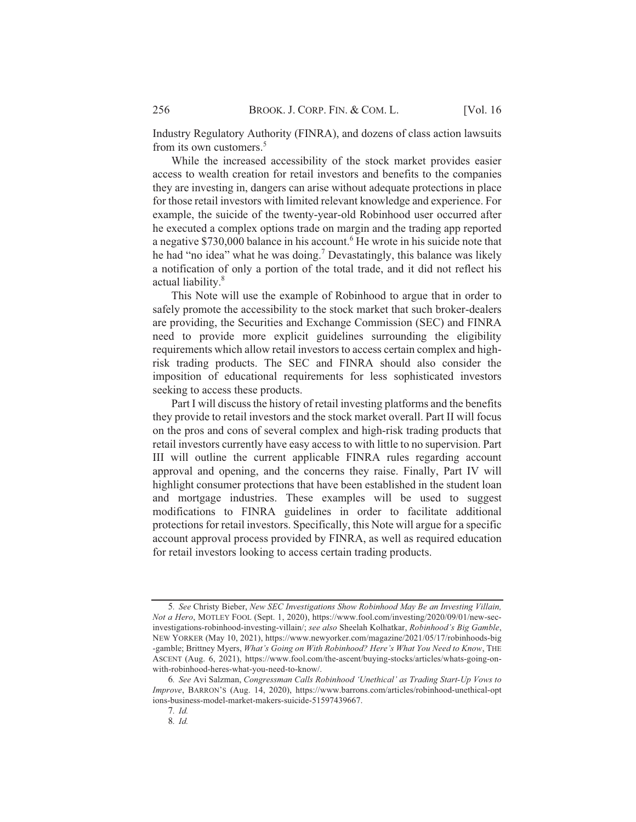Industry Regulatory Authority (FINRA), and dozens of class action lawsuits from its own customers.<sup>5</sup>

While the increased accessibility of the stock market provides easier access to wealth creation for retail investors and benefits to the companies they are investing in, dangers can arise without adequate protections in place for those retail investors with limited relevant knowledge and experience. For example, the suicide of the twenty-year-old Robinhood user occurred after he executed a complex options trade on margin and the trading app reported a negative \$730,000 balance in his account.<sup>6</sup> He wrote in his suicide note that he had "no idea" what he was doing.<sup>7</sup> Devastatingly, this balance was likely a notification of only a portion of the total trade, and it did not reflect his actual liability.<sup>8</sup>

This Note will use the example of Robinhood to argue that in order to safely promote the accessibility to the stock market that such broker-dealers are providing, the Securities and Exchange Commission (SEC) and FINRA need to provide more explicit guidelines surrounding the eligibility requirements which allow retail investors to access certain complex and highrisk trading products. The SEC and FINRA should also consider the imposition of educational requirements for less sophisticated investors seeking to access these products.

Part I will discuss the history of retail investing platforms and the benefits they provide to retail investors and the stock market overall. Part II will focus on the pros and cons of several complex and high-risk trading products that retail investors currently have easy access to with little to no supervision. Part III will outline the current applicable FINRA rules regarding account approval and opening, and the concerns they raise. Finally, Part IV will highlight consumer protections that have been established in the student loan and mortgage industries. These examples will be used to suggest modifications to FINRA guidelines in order to facilitate additional protections for retail investors. Specifically, this Note will argue for a specific account approval process provided by FINRA, as well as required education for retail investors looking to access certain trading products.

<sup>5.</sup> See Christy Bieber, New SEC Investigations Show Robinhood May Be an Investing Villain, Not a Hero, MOTLEY FOOL (Sept. 1, 2020), https://www.fool.com/investing/2020/09/01/new-secinvestigations-robinhood-investing-villain/; see also Sheelah Kolhatkar, Robinhood's Big Gamble, NEW YORKER (May 10, 2021), https://www.newyorker.com/magazine/2021/05/17/robinhoods-big -gamble; Brittney Myers, What's Going on With Robinhood? Here's What You Need to Know, THE ASCENT (Aug. 6, 2021), https://www.fool.com/the-ascent/buying-stocks/articles/whats-going-onwith-robinhood-heres-what-you-need-to-know/.

<sup>6.</sup> See Avi Salzman, Congressman Calls Robinhood 'Unethical' as Trading Start-Up Vows to Improve, BARRON'S (Aug. 14, 2020), https://www.barrons.com/articles/robinhood-unethical-opt ions-business-model-market-makers-suicide-51597439667.

<sup>7.</sup> Id.

<sup>8.</sup> Id.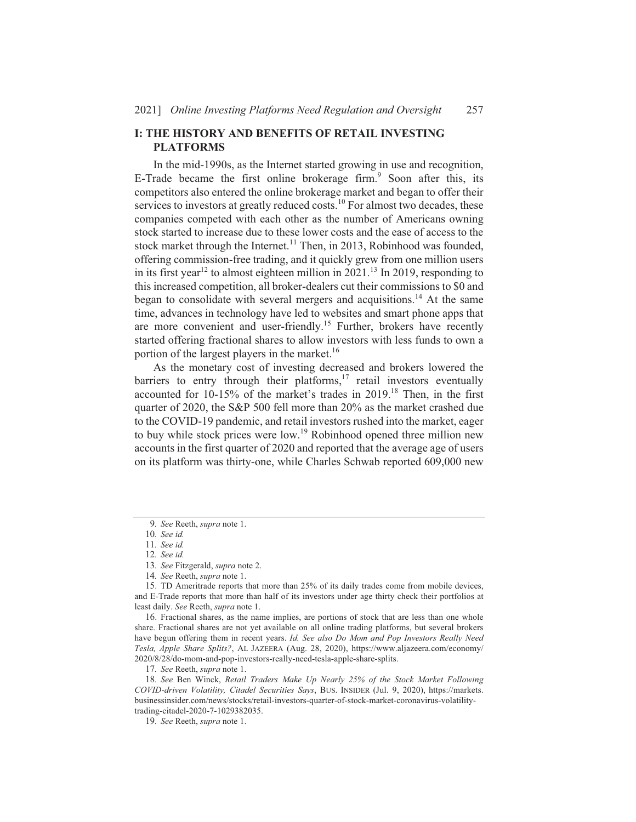#### **I: THE HISTORY AND BENEFITS OF RETAIL INVESTING PLATFORMS**

In the mid-1990s, as the Internet started growing in use and recognition, E-Trade became the first online brokerage firm.<sup>9</sup> Soon after this, its competitors also entered the online brokerage market and began to offer their services to investors at greatly reduced costs.<sup>10</sup> For almost two decades, these companies competed with each other as the number of Americans owning stock started to increase due to these lower costs and the ease of access to the stock market through the Internet.<sup>11</sup> Then, in 2013, Robinhood was founded, offering commission-free trading, and it quickly grew from one million users in its first year<sup>12</sup> to almost eighteen million in 2021.<sup>13</sup> In 2019, responding to this increased competition, all broker-dealers cut their commissions to \$0 and began to consolidate with several mergers and acquisitions.<sup>14</sup> At the same time, advances in technology have led to websites and smart phone apps that are more convenient and user-friendly.<sup>15</sup> Further, brokers have recently started offering fractional shares to allow investors with less funds to own a portion of the largest players in the market.<sup>16</sup>

As the monetary cost of investing decreased and brokers lowered the barriers to entry through their platforms, $17$  retail investors eventually accounted for 10-15% of the market's trades in 2019.<sup>18</sup> Then, in the first quarter of 2020, the S&P 500 fell more than 20% as the market crashed due to the COVID-19 pandemic, and retail investors rushed into the market, eager to buy while stock prices were low.<sup>19</sup> Robinhood opened three million new accounts in the first quarter of 2020 and reported that the average age of users on its platform was thirty-one, while Charles Schwab reported 609,000 new

16. Fractional shares, as the name implies, are portions of stock that are less than one whole share. Fractional shares are not yet available on all online trading platforms, but several brokers have begun offering them in recent years. Id. See also Do Mom and Pop Investors Really Need Tesla, Apple Share Splits?, AL JAZEERA (Aug. 28, 2020), https://www.aljazeera.com/economy/ 2020/8/28/do-mom-and-pop-investors-really-need-tesla-apple-share-splits.

17. See Reeth, supra note 1.

18. See Ben Winck, Retail Traders Make Up Nearly 25% of the Stock Market Following COVID-driven Volatility, Citadel Securities Says, BUS. INSIDER (Jul. 9, 2020), https://markets. businessinsider.com/news/stocks/retail-investors-quarter-of-stock-market-coronavirus-volatilitytrading-citadel-2020-7-1029382035.

<sup>9.</sup> See Reeth, supra note 1.

<sup>10.</sup> See id.

<sup>11.</sup> See id. 12. See id.

<sup>13.</sup> See Fitzgerald, supra note 2.

<sup>14.</sup> See Reeth, supra note 1.

<sup>15.</sup> TD Ameritrade reports that more than 25% of its daily trades come from mobile devices, and E-Trade reports that more than half of its investors under age thirty check their portfolios at least daily. See Reeth, supra note 1.

<sup>19.</sup> See Reeth, supra note 1.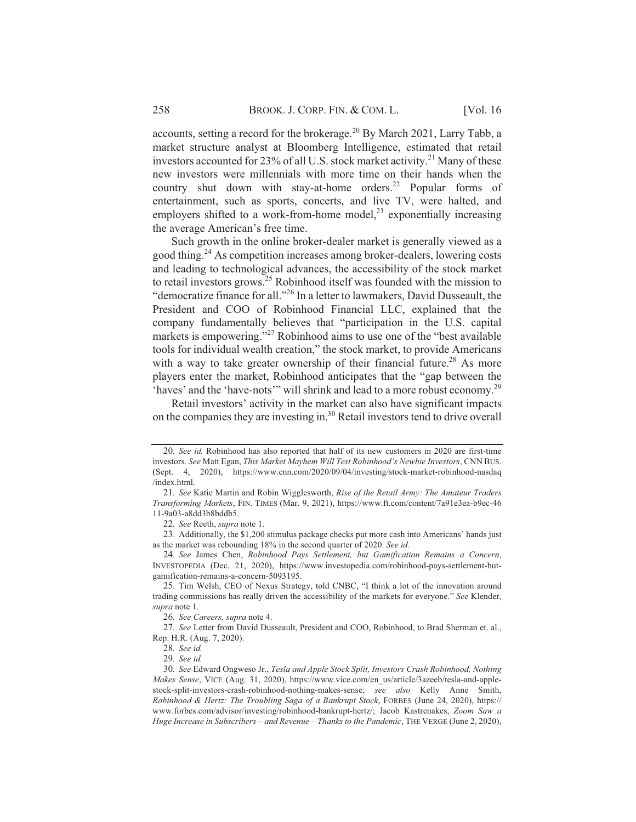accounts, setting a record for the brokerage.<sup>20</sup> By March 2021, Larry Tabb, a market structure analyst at Bloomberg Intelligence, estimated that retail investors accounted for 23% of all U.S. stock market activity.<sup>21</sup> Many of these new investors were millennials with more time on their hands when the country shut down with stay-at-home orders.<sup>22</sup> Popular forms of entertainment, such as sports, concerts, and live TV, were halted, and employers shifted to a work-from-home model,<sup>23</sup> exponentially increasing the average American's free time.

Such growth in the online broker-dealer market is generally viewed as a good thing.<sup>24</sup> As competition increases among broker-dealers, lowering costs and leading to technological advances, the accessibility of the stock market to retail investors grows.<sup>25</sup> Robinhood itself was founded with the mission to "democratize finance for all."<sup>26</sup> In a letter to lawmakers, David Dusseault, the President and COO of Robinhood Financial LLC, explained that the company fundamentally believes that "participation in the U.S. capital markets is empowering."<sup>27</sup> Robinhood aims to use one of the "best available" tools for individual wealth creation," the stock market, to provide Americans with a way to take greater ownership of their financial future.<sup>28</sup> As more players enter the market, Robinhood anticipates that the "gap between the 'haves' and the 'have-nots'" will shrink and lead to a more robust economy.<sup>29</sup>

Retail investors' activity in the market can also have significant impacts on the companies they are investing in.<sup>30</sup> Retail investors tend to drive overall

<sup>20.</sup> See id. Robinhood has also reported that half of its new customers in 2020 are first-time investors. See Matt Egan, This Market Mayhem Will Test Robinhood's Newbie Investors, CNN BUS. (Sept. 4, 2020), https://www.cnn.com/2020/09/04/investing/stock-market-robinhood-nasdaq /index.html.

<sup>21.</sup> See Katie Martin and Robin Wigglesworth, Rise of the Retail Army: The Amateur Traders Transforming Markets, FIN. TIMES (Mar. 9, 2021), https://www.ft.com/content/7a91e3ea-b9ec-46 11-9a03-a8dd3b8bddb5.

<sup>22.</sup> See Reeth, supra note 1.

<sup>23.</sup> Additionally, the \$1,200 stimulus package checks put more cash into Americans' hands just as the market was rebounding 18% in the second quarter of 2020. See id.

<sup>24.</sup> See James Chen, Robinhood Pays Settlement, but Gamification Remains a Concern, INVESTOPEDIA (Dec. 21, 2020), https://www.investopedia.com/robinhood-pays-settlement-butgamification-remains-a-concern-5093195.

<sup>25.</sup> Tim Welsh, CEO of Nexus Strategy, told CNBC, "I think a lot of the innovation around trading commissions has really driven the accessibility of the markets for everyone." See Klender, supra note 1.

<sup>26.</sup> See Careers, supra note 4.

<sup>27.</sup> See Letter from David Dusseault, President and COO, Robinhood, to Brad Sherman et. al., Rep. H.R. (Aug. 7, 2020).

<sup>28.</sup> See id.

<sup>29.</sup> See id.

<sup>30.</sup> See Edward Ongweso Jr., Tesla and Apple Stock Split, Investors Crash Robinhood, Nothing Makes Sense, VICE (Aug. 31, 2020), https://www.vice.com/en\_us/article/3azeeb/tesla-and-applestock-split-investors-crash-robinhood-nothing-makes-sense; see also Kelly Anne Smith, Robinhood & Hertz: The Troubling Saga of a Bankrupt Stock, FORBES (June 24, 2020), https:// www.forbes.com/advisor/investing/robinhood-bankrupt-hertz/; Jacob Kastrenakes, Zoom Saw a Huge Increase in Subscribers – and Revenue – Thanks to the Pandemic, THE VERGE (June 2, 2020),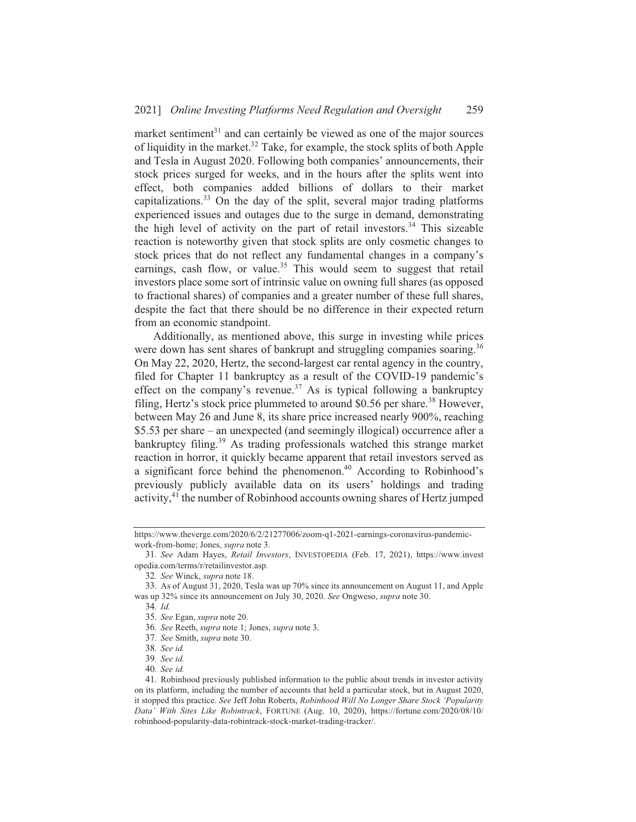market sentiment<sup>31</sup> and can certainly be viewed as one of the major sources of liquidity in the market.<sup>32</sup> Take, for example, the stock splits of both Apple and Tesla in August 2020. Following both companies' announcements, their stock prices surged for weeks, and in the hours after the splits went into effect, both companies added billions of dollars to their market capitalizations.<sup>33</sup> On the day of the split, several major trading platforms experienced issues and outages due to the surge in demand, demonstrating the high level of activity on the part of retail investors.<sup>34</sup> This sizeable reaction is noteworthy given that stock splits are only cosmetic changes to stock prices that do not reflect any fundamental changes in a company's earnings, cash flow, or value.<sup>35</sup> This would seem to suggest that retail investors place some sort of intrinsic value on owning full shares (as opposed to fractional shares) of companies and a greater number of these full shares, despite the fact that there should be no difference in their expected return from an economic standpoint.

Additionally, as mentioned above, this surge in investing while prices were down has sent shares of bankrupt and struggling companies soaring.<sup>36</sup> On May 22, 2020, Hertz, the second-largest car rental agency in the country, filed for Chapter 11 bankruptcy as a result of the COVID-19 pandemic's effect on the company's revenue.<sup>37</sup> As is typical following a bankruptcy filing, Hertz's stock price plummeted to around \$0.56 per share.<sup>38</sup> However, between May 26 and June 8, its share price increased nearly 900%, reaching \$5.53 per share – an unexpected (and seemingly illogical) occurrence after a bankruptcy filing.<sup>39</sup> As trading professionals watched this strange market reaction in horror, it quickly became apparent that retail investors served as a significant force behind the phenomenon.<sup>40</sup> According to Robinhood's previously publicly available data on its users' holdings and trading activity,<sup>41</sup> the number of Robinhood accounts owning shares of Hertz jumped

34. Id.

https://www.theverge.com/2020/6/2/21277006/zoom-q1-2021-earnings-coronavirus-pandemicwork-from-home; Jones, *supra* note 3.

<sup>31.</sup> See Adam Hayes, Retail Investors, INVESTOPEDIA (Feb. 17, 2021), https://www.invest opedia.com/terms/r/retailinvestor.asp.

<sup>32.</sup> See Winck, supra note 18.

<sup>33.</sup> As of August 31, 2020, Tesla was up 70% since its announcement on August 11, and Apple was up 32% since its announcement on July 30, 2020. See Ongweso, *supra* note 30.

<sup>35.</sup> See Egan, supra note 20.

<sup>36.</sup> See Reeth, supra note 1; Jones, supra note 3.

<sup>37.</sup> See Smith, supra note 30.

<sup>38.</sup> See id.

<sup>39.</sup> See id.

<sup>40.</sup> See id.

<sup>41.</sup> Robinhood previously published information to the public about trends in investor activity on its platform, including the number of accounts that held a particular stock, but in August 2020, it stopped this practice. See Jeff John Roberts, Robinhood Will No Longer Share Stock 'Popularity Data' With Sites Like Robintrack, FORTUNE (Aug. 10, 2020), https://fortune.com/2020/08/10/ robinhood-popularity-data-robintrack-stock-market-trading-tracker/.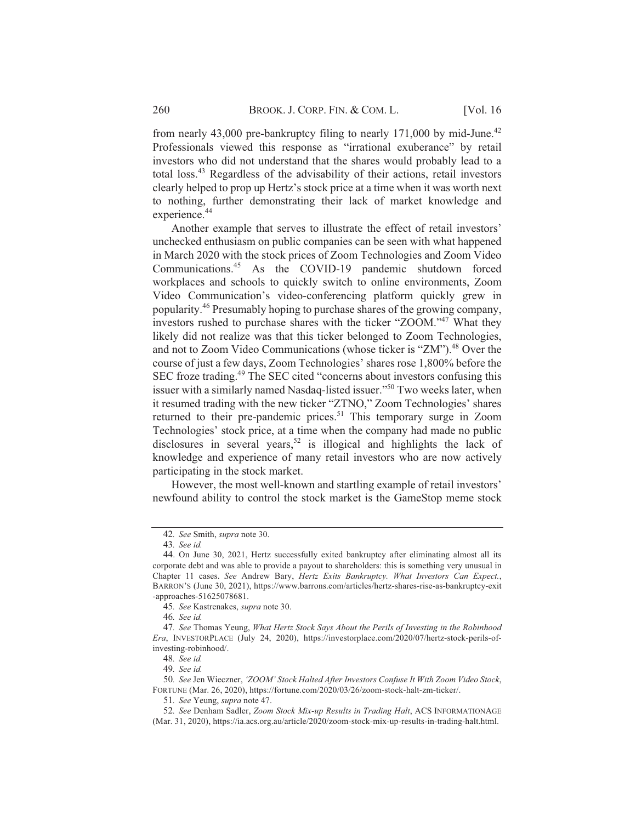from nearly 43,000 pre-bankruptcy filing to nearly 171,000 by mid-June.<sup>42</sup> Professionals viewed this response as "irrational exuberance" by retail investors who did not understand that the shares would probably lead to a total loss.<sup>43</sup> Regardless of the advisability of their actions, retail investors clearly helped to prop up Hertz's stock price at a time when it was worth next to nothing, further demonstrating their lack of market knowledge and experience.<sup>44</sup>

Another example that serves to illustrate the effect of retail investors' unchecked enthusiasm on public companies can be seen with what happened in March 2020 with the stock prices of Zoom Technologies and Zoom Video Communications.<sup>45</sup> As the COVID-19 pandemic shutdown forced workplaces and schools to quickly switch to online environments, Zoom Video Communication's video-conferencing platform quickly grew in popularity.<sup>46</sup> Presumably hoping to purchase shares of the growing company, investors rushed to purchase shares with the ticker "ZOOM."<sup>47</sup> What they likely did not realize was that this ticker belonged to Zoom Technologies, and not to Zoom Video Communications (whose ticker is "ZM").<sup>48</sup> Over the course of just a few days, Zoom Technologies' shares rose 1,800% before the SEC froze trading.<sup>49</sup> The SEC cited "concerns about investors confusing this issuer with a similarly named Nasdaq-listed issuer."<sup>50</sup> Two weeks later, when it resumed trading with the new ticker "ZTNO," Zoom Technologies' shares returned to their pre-pandemic prices.<sup>51</sup> This temporary surge in Zoom Technologies' stock price, at a time when the company had made no public disclosures in several years,<sup>52</sup> is illogical and highlights the lack of knowledge and experience of many retail investors who are now actively participating in the stock market.

However, the most well-known and startling example of retail investors' newfound ability to control the stock market is the GameStop meme stock

<sup>42.</sup> See Smith, supra note 30.

<sup>43.</sup> See id.

<sup>44.</sup> On June 30, 2021, Hertz successfully exited bankruptcy after eliminating almost all its corporate debt and was able to provide a payout to shareholders: this is something very unusual in Chapter 11 cases. See Andrew Bary, Hertz Exits Bankruptcy. What Investors Can Expect., BARRON'S (June 30, 2021), https://www.barrons.com/articles/hertz-shares-rise-as-bankruptcy-exit -approaches-51625078681.

<sup>45.</sup> See Kastrenakes, supra note 30.

<sup>46.</sup> See id.

<sup>47.</sup> See Thomas Yeung, What Hertz Stock Says About the Perils of Investing in the Robinhood Era, INVESTORPLACE (July 24, 2020), https://investorplace.com/2020/07/hertz-stock-perils-ofinvesting-robinhood/.

<sup>48.</sup> See id.

<sup>49.</sup> See id.

<sup>50.</sup> See Jen Wieczner, 'ZOOM' Stock Halted After Investors Confuse It With Zoom Video Stock, FORTUNE (Mar. 26, 2020), https://fortune.com/2020/03/26/zoom-stock-halt-zm-ticker/.

<sup>51.</sup> See Yeung, supra note 47.

<sup>52.</sup> See Denham Sadler, Zoom Stock Mix-up Results in Trading Halt, ACS INFORMATIONAGE (Mar. 31, 2020), https://ia.acs.org.au/article/2020/zoom-stock-mix-up-results-in-trading-halt.html.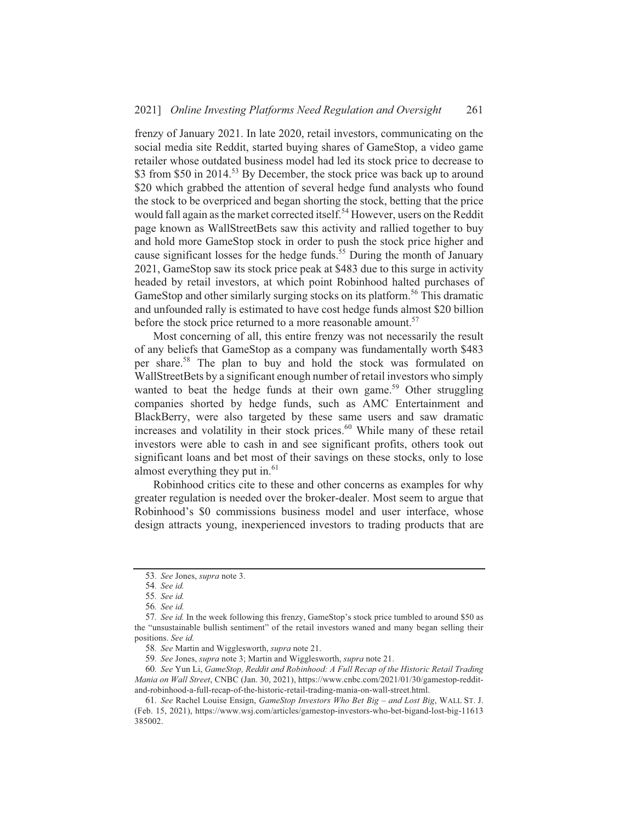frenzy of January 2021. In late 2020, retail investors, communicating on the social media site Reddit, started buying shares of GameStop, a video game retailer whose outdated business model had led its stock price to decrease to \$3 from \$50 in 2014.<sup>53</sup> By December, the stock price was back up to around \$20 which grabbed the attention of several hedge fund analysts who found the stock to be overpriced and began shorting the stock, betting that the price would fall again as the market corrected itself.<sup>54</sup> However, users on the Reddit page known as WallStreetBets saw this activity and rallied together to buy and hold more GameStop stock in order to push the stock price higher and cause significant losses for the hedge funds.<sup>55</sup> During the month of January 2021, GameStop saw its stock price peak at \$483 due to this surge in activity headed by retail investors, at which point Robinhood halted purchases of GameStop and other similarly surging stocks on its platform.<sup>56</sup> This dramatic and unfounded rally is estimated to have cost hedge funds almost \$20 billion before the stock price returned to a more reasonable amount.<sup>57</sup>

Most concerning of all, this entire frenzy was not necessarily the result of any beliefs that GameStop as a company was fundamentally worth \$483 per share.<sup>58</sup> The plan to buy and hold the stock was formulated on WallStreetBets by a significant enough number of retail investors who simply wanted to beat the hedge funds at their own game.<sup>59</sup> Other struggling companies shorted by hedge funds, such as AMC Entertainment and BlackBerry, were also targeted by these same users and saw dramatic increases and volatility in their stock prices.<sup>60</sup> While many of these retail investors were able to cash in and see significant profits, others took out significant loans and bet most of their savings on these stocks, only to lose almost everything they put in.<sup>61</sup>

Robinhood critics cite to these and other concerns as examples for why greater regulation is needed over the broker-dealer. Most seem to argue that Robinhood's \$0 commissions business model and user interface, whose design attracts young, inexperienced investors to trading products that are

<sup>53.</sup> See Jones, supra note 3.

<sup>54.</sup> See id.

<sup>55.</sup> See id.

<sup>56.</sup> See id.

<sup>57.</sup> See id. In the week following this frenzy, GameStop's stock price tumbled to around \$50 as the "unsustainable bullish sentiment" of the retail investors waned and many began selling their positions. See id.

<sup>58.</sup> See Martin and Wigglesworth, supra note 21.

<sup>59.</sup> See Jones, supra note 3; Martin and Wigglesworth, supra note 21.

<sup>60.</sup> See Yun Li, GameStop, Reddit and Robinhood: A Full Recap of the Historic Retail Trading Mania on Wall Street, CNBC (Jan. 30, 2021), https://www.cnbc.com/2021/01/30/gamestop-redditand-robinhood-a-full-recap-of-the-historic-retail-trading-mania-on-wall-street.html.

<sup>61.</sup> See Rachel Louise Ensign, GameStop Investors Who Bet Big - and Lost Big, WALL ST. J. (Feb. 15, 2021), https://www.wsj.com/articles/gamestop-investors-who-bet-bigand-lost-big-11613 385002.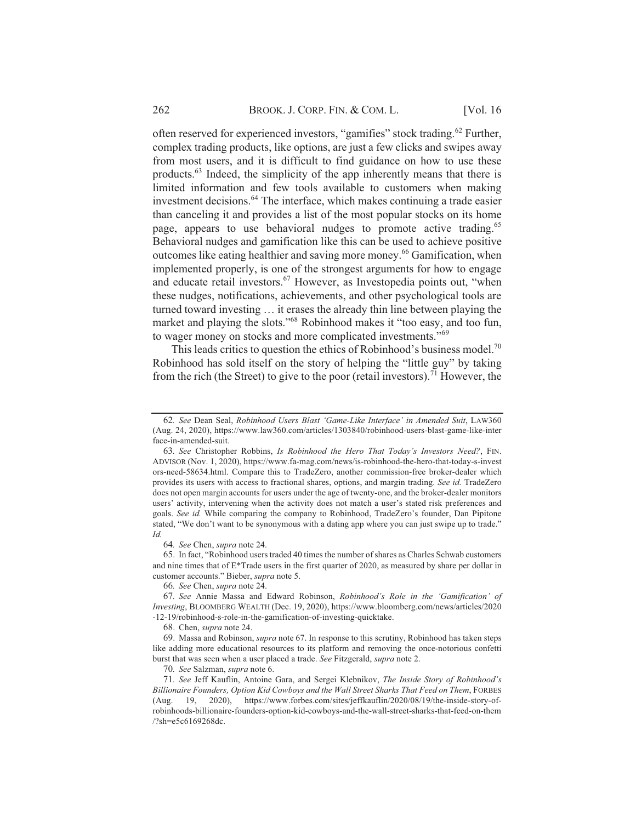often reserved for experienced investors, "gamifies" stock trading.<sup>62</sup> Further, complex trading products, like options, are just a few clicks and swipes away from most users, and it is difficult to find guidance on how to use these products.<sup>63</sup> Indeed, the simplicity of the app inherently means that there is limited information and few tools available to customers when making investment decisions.<sup>64</sup> The interface, which makes continuing a trade easier than canceling it and provides a list of the most popular stocks on its home page, appears to use behavioral nudges to promote active trading.<sup>65</sup> Behavioral nudges and gamification like this can be used to achieve positive outcomes like eating healthier and saving more money.<sup>66</sup> Gamification, when implemented properly, is one of the strongest arguments for how to engage and educate retail investors.<sup>67</sup> However, as Investopedia points out, "when these nudges, notifications, achievements, and other psychological tools are turned toward investing ... it erases the already thin line between playing the market and playing the slots."<sup>68</sup> Robinhood makes it "too easy, and too fun, to wager money on stocks and more complicated investments."<sup>69</sup>

This leads critics to question the ethics of Robinhood's business model.<sup>70</sup> Robinhood has sold itself on the story of helping the "little guy" by taking from the rich (the Street) to give to the poor (retail investors).<sup>71</sup> However, the

64. See Chen, supra note 24.

65. In fact, "Robinhood users traded 40 times the number of shares as Charles Schwab customers and nine times that of E\*Trade users in the first quarter of 2020, as measured by share per dollar in customer accounts." Bieber, *supra* note 5.

66. See Chen, supra note 24.

67. See Annie Massa and Edward Robinson, Robinhood's Role in the 'Gamification' of Investing, BLOOMBERG WEALTH (Dec. 19, 2020), https://www.bloomberg.com/news/articles/2020 -12-19/robinhood-s-role-in-the-gamification-of-investing-quicktake.

68. Chen, supra note 24.

69. Massa and Robinson, *supra* note 67. In response to this scrutiny, Robinhood has taken steps like adding more educational resources to its platform and removing the once-notorious confetti burst that was seen when a user placed a trade. See Fitzgerald, supra note 2.

70. See Salzman, supra note 6.

71. See Jeff Kauflin, Antoine Gara, and Sergei Klebnikov, The Inside Story of Robinhood's Billionaire Founders, Option Kid Cowboys and the Wall Street Sharks That Feed on Them, FORBES (Aug. 19, 2020), https://www.forbes.com/sites/jeffkauflin/2020/08/19/the-inside-story-ofrobinhoods-billionaire-founders-option-kid-cowboys-and-the-wall-street-sharks-that-feed-on-them /?sh=e5c6169268dc.

<sup>62.</sup> See Dean Seal, Robinhood Users Blast 'Game-Like Interface' in Amended Suit, LAW360 (Aug. 24, 2020), https://www.law360.com/articles/1303840/robinhood-users-blast-game-like-inter face-in-amended-suit.

<sup>63.</sup> See Christopher Robbins, Is Robinhood the Hero That Today's Investors Need?, FIN. ADVISOR (Nov. 1, 2020), https://www.fa-mag.com/news/is-robinhood-the-hero-that-today-s-invest ors-need-58634.html. Compare this to TradeZero, another commission-free broker-dealer which provides its users with access to fractional shares, options, and margin trading. See id. TradeZero does not open margin accounts for users under the age of twenty-one, and the broker-dealer monitors users' activity, intervening when the activity does not match a user's stated risk preferences and goals. See id. While comparing the company to Robinhood, TradeZero's founder, Dan Pipitone stated, "We don't want to be synonymous with a dating app where you can just swipe up to trade."  $Id$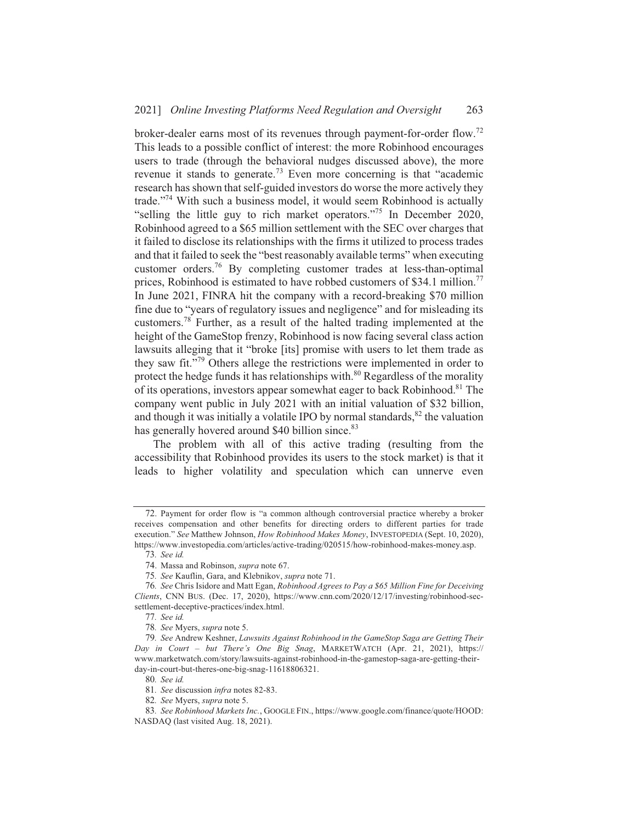broker-dealer earns most of its revenues through payment-for-order flow.<sup>72</sup> This leads to a possible conflict of interest: the more Robinhood encourages users to trade (through the behavioral nudges discussed above), the more revenue it stands to generate.<sup>73</sup> Even more concerning is that "academic research has shown that self-guided investors do worse the more actively they trade."<sup>74</sup> With such a business model, it would seem Robinhood is actually "selling the little guy to rich market operators."<sup>75</sup> In December 2020, Robinhood agreed to a \$65 million settlement with the SEC over charges that it failed to disclose its relationships with the firms it utilized to process trades and that it failed to seek the "best reasonably available terms" when executing customer orders.<sup>76</sup> By completing customer trades at less-than-optimal prices, Robinhood is estimated to have robbed customers of \$34.1 million.<sup>77</sup> In June 2021, FINRA hit the company with a record-breaking \$70 million fine due to "years of regulatory issues and negligence" and for misleading its customers.<sup>78</sup> Further, as a result of the halted trading implemented at the height of the GameStop frenzy, Robinhood is now facing several class action lawsuits alleging that it "broke [its] promise with users to let them trade as they saw fit."<sup>79</sup> Others allege the restrictions were implemented in order to protect the hedge funds it has relationships with.<sup>80</sup> Regardless of the morality of its operations, investors appear somewhat eager to back Robinhood.<sup>81</sup> The company went public in July 2021 with an initial valuation of \$32 billion, and though it was initially a volatile IPO by normal standards,<sup>82</sup> the valuation has generally hovered around \$40 billion since.<sup>83</sup>

The problem with all of this active trading (resulting from the accessibility that Robinhood provides its users to the stock market) is that it leads to higher volatility and speculation which can unnerve even

73. See id.

75. See Kauflin, Gara, and Klebnikov, supra note 71.

<sup>72.</sup> Payment for order flow is "a common although controversial practice whereby a broker receives compensation and other benefits for directing orders to different parties for trade execution." See Matthew Johnson, How Robinhood Makes Money, INVESTOPEDIA (Sept. 10, 2020), https://www.investopedia.com/articles/active-trading/020515/how-robinhood-makes-money.asp.

<sup>74.</sup> Massa and Robinson, supra note 67.

<sup>76.</sup> See Chris Isidore and Matt Egan, Robinhood Agrees to Pay a \$65 Million Fine for Deceiving Clients, CNN BUS. (Dec. 17, 2020), https://www.cnn.com/2020/12/17/investing/robinhood-secsettlement-deceptive-practices/index.html.

<sup>77.</sup> See id.

<sup>78.</sup> See Myers, supra note 5.

<sup>79.</sup> See Andrew Keshner, Lawsuits Against Robinhood in the GameStop Saga are Getting Their Day in Court - but There's One Big Snag, MARKETWATCH (Apr. 21, 2021), https:// www.marketwatch.com/story/lawsuits-against-robinhood-in-the-gamestop-saga-are-getting-theirday-in-court-but-theres-one-big-snag-11618806321.

<sup>80.</sup> See id.

<sup>81.</sup> See discussion infra notes 82-83.

<sup>82.</sup> See Myers, supra note 5.

<sup>83.</sup> See Robinhood Markets Inc., GOOGLE FIN., https://www.google.com/finance/quote/HOOD: NASDAQ (last visited Aug. 18, 2021).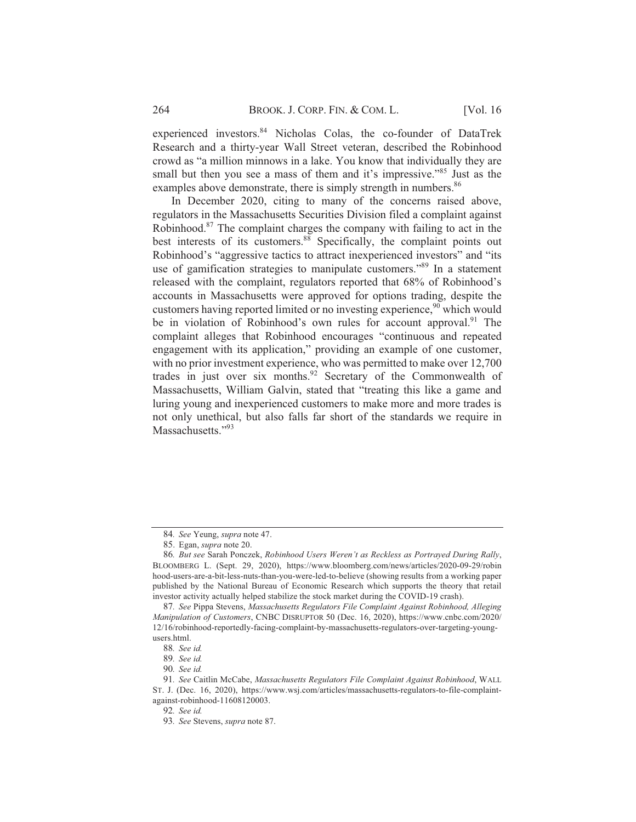experienced investors.<sup>84</sup> Nicholas Colas, the co-founder of DataTrek Research and a thirty-year Wall Street veteran, described the Robinhood crowd as "a million minnows in a lake. You know that individually they are small but then you see a mass of them and it's impressive."<sup>85</sup> Just as the examples above demonstrate, there is simply strength in numbers.<sup>86</sup>

In December 2020, citing to many of the concerns raised above, regulators in the Massachusetts Securities Division filed a complaint against Robinhood.<sup>87</sup> The complaint charges the company with failing to act in the best interests of its customers.<sup>88</sup> Specifically, the complaint points out Robinhood's "aggressive tactics to attract inexperienced investors" and "its use of gamification strategies to manipulate customers."<sup>89</sup> In a statement released with the complaint, regulators reported that 68% of Robinhood's accounts in Massachusetts were approved for options trading, despite the customers having reported limited or no investing experience,<sup>90</sup> which would be in violation of Robinhood's own rules for account approval.<sup>91</sup> The complaint alleges that Robinhood encourages "continuous and repeated engagement with its application," providing an example of one customer, with no prior investment experience, who was permitted to make over 12,700 trades in just over six months.<sup>92</sup> Secretary of the Commonwealth of Massachusetts, William Galvin, stated that "treating this like a game and luring young and inexperienced customers to make more and more trades is not only unethical, but also falls far short of the standards we require in Massachusetts."93

<sup>84.</sup> See Yeung, supra note 47.

<sup>85.</sup> Egan, *supra* note 20.

<sup>86.</sup> But see Sarah Ponczek, Robinhood Users Weren't as Reckless as Portrayed During Rally, BLOOMBERG L. (Sept. 29, 2020), https://www.bloomberg.com/news/articles/2020-09-29/robin hood-users-are-a-bit-less-nuts-than-you-were-led-to-believe (showing results from a working paper published by the National Bureau of Economic Research which supports the theory that retail investor activity actually helped stabilize the stock market during the COVID-19 crash).

<sup>87.</sup> See Pippa Stevens, Massachusetts Regulators File Complaint Against Robinhood, Alleging Manipulation of Customers, CNBC DISRUPTOR 50 (Dec. 16, 2020), https://www.cnbc.com/2020/ 12/16/robinhood-reportedly-facing-complaint-by-massachusetts-regulators-over-targeting-youngusers.html.

<sup>88.</sup> See id.

<sup>89.</sup> See id.

<sup>90.</sup> See id.

<sup>91.</sup> See Caitlin McCabe, Massachusetts Regulators File Complaint Against Robinhood, WALL ST. J. (Dec. 16, 2020), https://www.wsj.com/articles/massachusetts-regulators-to-file-complaintagainst-robinhood-11608120003.

<sup>92.</sup> See id.

<sup>93.</sup> See Stevens, supra note 87.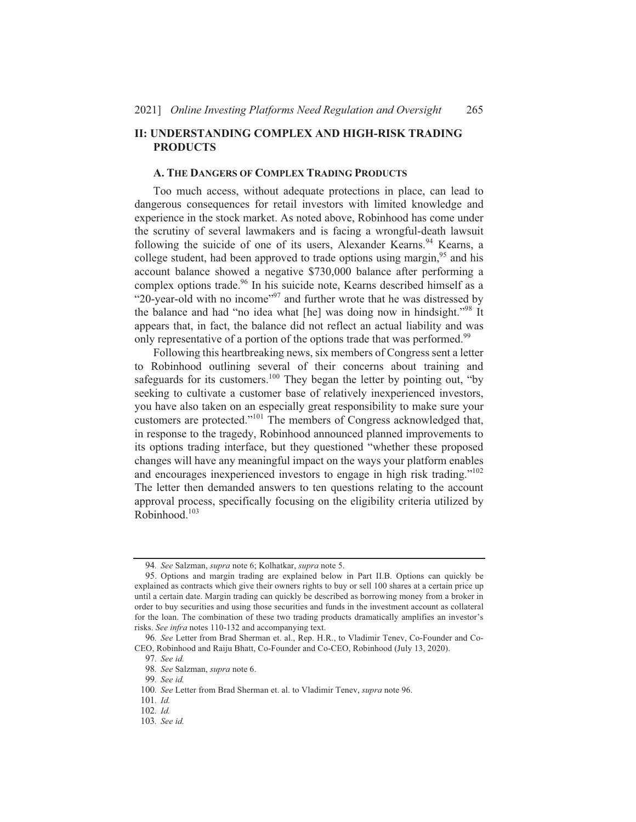#### **II: UNDERSTANDING COMPLEX AND HIGH-RISK TRADING PRODUCTS**

#### A. THE DANGERS OF COMPLEX TRADING PRODUCTS

Too much access, without adequate protections in place, can lead to dangerous consequences for retail investors with limited knowledge and experience in the stock market. As noted above, Robinhood has come under the scrutiny of several lawmakers and is facing a wrongful-death lawsuit following the suicide of one of its users, Alexander Kearns.<sup>94</sup> Kearns, a college student, had been approved to trade options using margin,<sup>95</sup> and his account balance showed a negative \$730,000 balance after performing a complex options trade.<sup>96</sup> In his suicide note, Kearns described himself as a "20-year-old with no income"<sup>97</sup> and further wrote that he was distressed by the balance and had "no idea what [he] was doing now in hindsight."<sup>98</sup> It appears that, in fact, the balance did not reflect an actual liability and was only representative of a portion of the options trade that was performed.<sup>99</sup>

Following this heartbreaking news, six members of Congress sent a letter to Robinhood outlining several of their concerns about training and safeguards for its customers.<sup>100</sup> They began the letter by pointing out, "by seeking to cultivate a customer base of relatively inexperienced investors, you have also taken on an especially great responsibility to make sure your customers are protected."<sup>101</sup> The members of Congress acknowledged that, in response to the tragedy, Robinhood announced planned improvements to its options trading interface, but they questioned "whether these proposed changes will have any meaningful impact on the ways your platform enables and encourages inexperienced investors to engage in high risk trading."<sup>102</sup> The letter then demanded answers to ten questions relating to the account approval process, specifically focusing on the eligibility criteria utilized by Robinhood.<sup>103</sup>

<sup>94.</sup> See Salzman, supra note 6; Kolhatkar, supra note 5.

<sup>95.</sup> Options and margin trading are explained below in Part II.B. Options can quickly be explained as contracts which give their owners rights to buy or sell 100 shares at a certain price up until a certain date. Margin trading can quickly be described as borrowing money from a broker in order to buy securities and using those securities and funds in the investment account as collateral for the loan. The combination of these two trading products dramatically amplifies an investor's risks. See infra notes 110-132 and accompanying text.

<sup>96.</sup> See Letter from Brad Sherman et. al., Rep. H.R., to Vladimir Tenev, Co-Founder and Co-CEO, Robinhood and Raiju Bhatt, Co-Founder and Co-CEO, Robinhood (July 13, 2020).

<sup>97.</sup> See id.

<sup>98.</sup> See Salzman, supra note 6.

<sup>99.</sup> See id.

<sup>100.</sup> See Letter from Brad Sherman et. al. to Vladimir Tenev, supra note 96.

<sup>101.</sup>  $Id$ 

<sup>102.</sup>  $Id$ 

<sup>103.</sup> See id.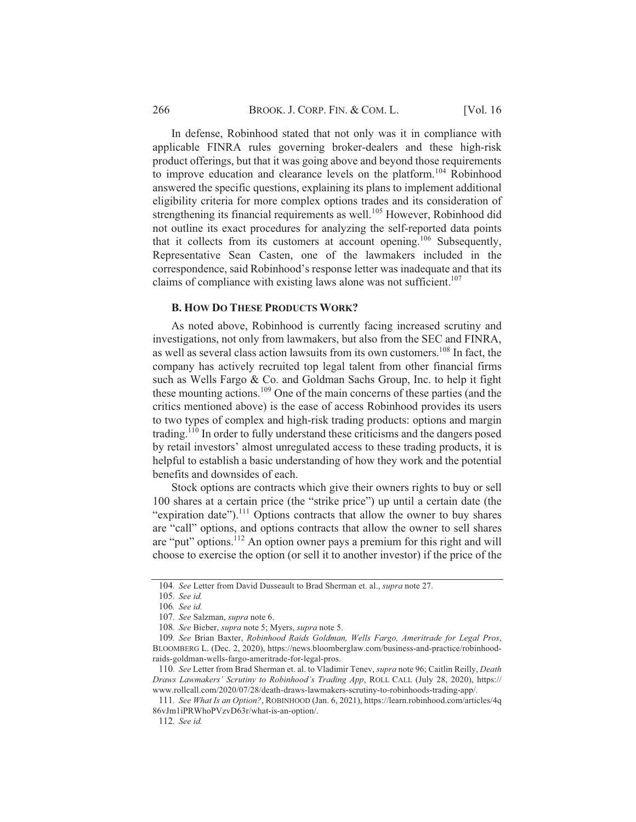In defense, Robinhood stated that not only was it in compliance with applicable FINRA rules governing broker-dealers and these high-risk product offerings, but that it was going above and beyond those requirements to improve education and clearance levels on the platform.<sup>104</sup> Robinhood answered the specific questions, explaining its plans to implement additional eligibility criteria for more complex options trades and its consideration of strengthening its financial requirements as well.<sup>105</sup> However, Robinhood did not outline its exact procedures for analyzing the self-reported data points that it collects from its customers at account opening.<sup>106</sup> Subsequently, Representative Sean Casten, one of the lawmakers included in the correspondence, said Robinhood's response letter was inadequate and that its claims of compliance with existing laws alone was not sufficient.<sup>107</sup>

#### **B. HOW DO THESE PRODUCTS WORK?**

As noted above, Robinhood is currently facing increased scrutiny and investigations, not only from lawmakers, but also from the SEC and FINRA, as well as several class action lawsuits from its own customers.<sup>108</sup> In fact, the company has actively recruited top legal talent from other financial firms such as Wells Fargo & Co. and Goldman Sachs Group, Inc. to help it fight these mounting actions.<sup>109</sup> One of the main concerns of these parties (and the critics mentioned above) is the ease of access Robinhood provides its users to two types of complex and high-risk trading products: options and margin trading.<sup>110</sup> In order to fully understand these criticisms and the dangers posed by retail investors' almost unregulated access to these trading products, it is helpful to establish a basic understanding of how they work and the potential benefits and downsides of each.

Stock options are contracts which give their owners rights to buy or sell 100 shares at a certain price (the "strike price") up until a certain date (the "expiration date").<sup>111</sup> Options contracts that allow the owner to buy shares are "call" options, and options contracts that allow the owner to sell shares are "put" options.<sup>112</sup> An option owner pays a premium for this right and will choose to exercise the option (or sell it to another investor) if the price of the

<sup>104.</sup> See Letter from David Dusseault to Brad Sherman et. al., supra note 27.

<sup>105.</sup> See id.

<sup>106.</sup> See id.

<sup>107.</sup> See Salzman, supra note 6.

<sup>108.</sup> See Bieber, supra note 5; Myers, supra note 5.

<sup>109.</sup> See Brian Baxter, Robinhood Raids Goldman, Wells Fargo, Ameritrade for Legal Pros, BLOOMBERG L. (Dec. 2, 2020), https://news.bloomberglaw.com/business-and-practice/robinhoodraids-goldman-wells-fargo-ameritrade-for-legal-pros.

<sup>110.</sup> See Letter from Brad Sherman et. al. to Vladimir Tenev, supra note 96; Caitlin Reilly, Death Draws Lawmakers' Scrutiny to Robinhood's Trading App, ROLL CALL (July 28, 2020), https:// www.rollcall.com/2020/07/28/death-draws-lawmakers-scrutiny-to-robinhoods-trading-app/.

<sup>111.</sup> See What Is an Option?, ROBINHOOD (Jan. 6, 2021), https://learn.robinhood.com/articles/4q 86vJm1iPRWhoPVzvD63r/what-is-an-option/.

<sup>112.</sup> See id.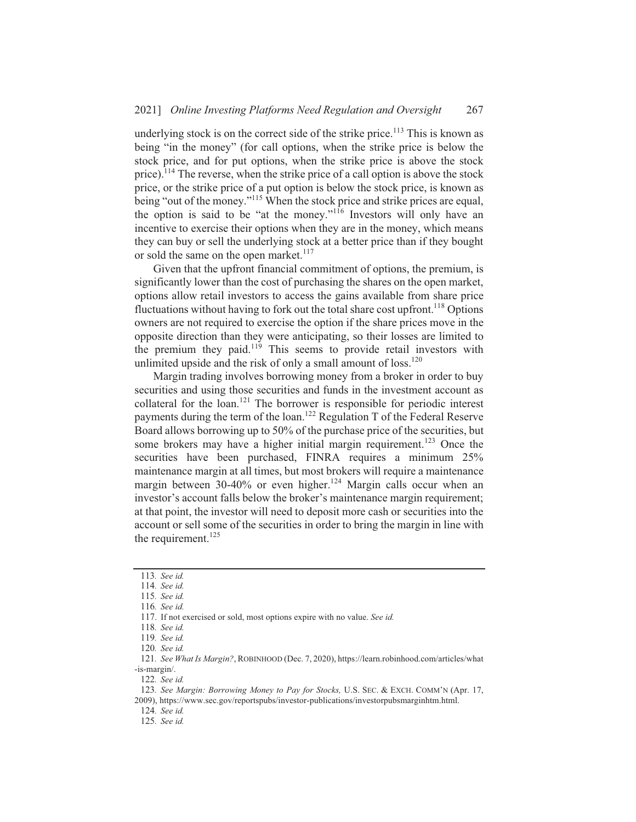underlying stock is on the correct side of the strike price.<sup>113</sup> This is known as being "in the money" (for call options, when the strike price is below the stock price, and for put options, when the strike price is above the stock price).<sup>114</sup> The reverse, when the strike price of a call option is above the stock price, or the strike price of a put option is below the stock price, is known as being "out of the money."<sup>115</sup> When the stock price and strike prices are equal, the option is said to be "at the money."<sup>116</sup> Investors will only have an incentive to exercise their options when they are in the money, which means they can buy or sell the underlying stock at a better price than if they bought or sold the same on the open market.  $117$ 

Given that the upfront financial commitment of options, the premium, is significantly lower than the cost of purchasing the shares on the open market, options allow retail investors to access the gains available from share price fluctuations without having to fork out the total share cost upfront.<sup>118</sup> Options owners are not required to exercise the option if the share prices move in the opposite direction than they were anticipating, so their losses are limited to the premium they paid.<sup>119</sup> This seems to provide retail investors with unlimited upside and the risk of only a small amount of loss.<sup>120</sup>

Margin trading involves borrowing money from a broker in order to buy securities and using those securities and funds in the investment account as collateral for the loan.<sup>121</sup> The borrower is responsible for periodic interest payments during the term of the loan.<sup>122</sup> Regulation T of the Federal Reserve Board allows borrowing up to 50% of the purchase price of the securities, but some brokers may have a higher initial margin requirement.<sup>123</sup> Once the securities have been purchased, FINRA requires a minimum 25% maintenance margin at all times, but most brokers will require a maintenance margin between 30-40% or even higher.<sup>124</sup> Margin calls occur when an investor's account falls below the broker's maintenance margin requirement; at that point, the investor will need to deposit more cash or securities into the account or sell some of the securities in order to bring the margin in line with the requirement. $^{125}$ 

124. See id.

<sup>113.</sup> See id.

<sup>114.</sup> See id.

<sup>115.</sup> See id. 116. See id.

<sup>117.</sup> If not exercised or sold, most options expire with no value. See id.

<sup>118.</sup> See id.

<sup>119.</sup> See id.

<sup>120.</sup> See id.

<sup>121.</sup> See What Is Margin?, ROBINHOOD (Dec. 7, 2020), https://learn.robinhood.com/articles/what -is-margin/.

<sup>122.</sup> See id.

<sup>123.</sup> See Margin: Borrowing Money to Pay for Stocks, U.S. SEC. & EXCH. COMM'N (Apr. 17,  $2009$ ). https://www.sec.gov/reportspubs/investor-publications/investorpubsmarginhtm.html.

<sup>125.</sup> See id.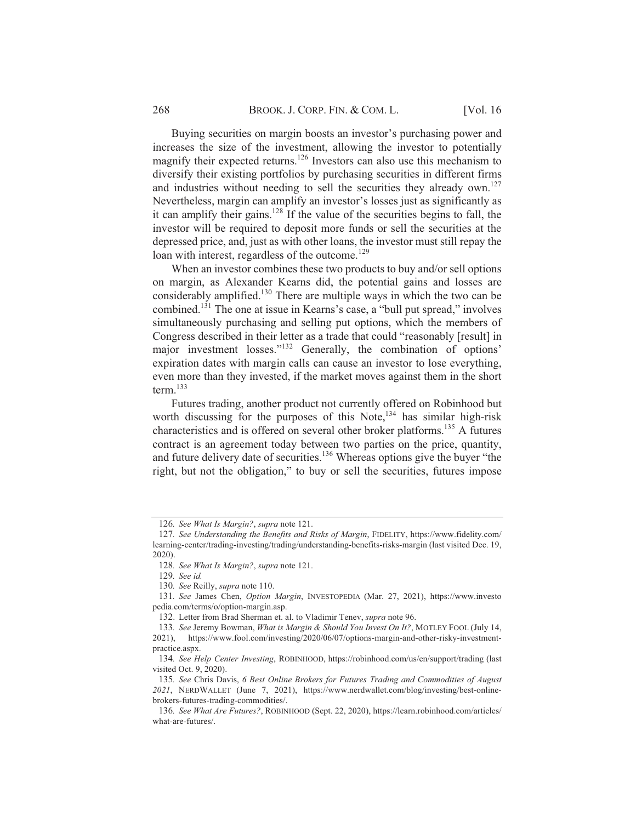Buying securities on margin boosts an investor's purchasing power and increases the size of the investment, allowing the investor to potentially magnify their expected returns.<sup>126</sup> Investors can also use this mechanism to diversify their existing portfolios by purchasing securities in different firms and industries without needing to sell the securities they already own.<sup>127</sup> Nevertheless, margin can amplify an investor's losses just as significantly as it can amplify their gains.<sup>128</sup> If the value of the securities begins to fall, the investor will be required to deposit more funds or sell the securities at the depressed price, and, just as with other loans, the investor must still repay the loan with interest, regardless of the outcome.<sup>129</sup>

When an investor combines these two products to buy and/or sell options on margin, as Alexander Kearns did, the potential gains and losses are considerably amplified.<sup>130</sup> There are multiple ways in which the two can be combined.<sup>131</sup> The one at issue in Kearns's case, a "bull put spread," involves simultaneously purchasing and selling put options, which the members of Congress described in their letter as a trade that could "reasonably [result] in major investment losses."<sup>132</sup> Generally, the combination of options' expiration dates with margin calls can cause an investor to lose everything, even more than they invested, if the market moves against them in the short  $term<sup>133</sup>$ 

Futures trading, another product not currently offered on Robinhood but worth discussing for the purposes of this Note,<sup>134</sup> has similar high-risk characteristics and is offered on several other broker platforms.<sup>135</sup> A futures contract is an agreement today between two parties on the price, quantity, and future delivery date of securities.<sup>136</sup> Whereas options give the buyer "the right, but not the obligation," to buy or sell the securities, futures impose

<sup>126.</sup> See What Is Margin?, supra note 121.

<sup>127.</sup> See Understanding the Benefits and Risks of Margin, FIDELITY, https://www.fidelity.com/ learning-center/trading-investing/trading/understanding-benefits-risks-margin (last visited Dec. 19,  $2020$ ).

<sup>128.</sup> See What Is Margin?, supra note 121.

<sup>129.</sup> See id.

<sup>130.</sup> See Reilly, supra note 110.

<sup>131.</sup> See James Chen, Option Margin, INVESTOPEDIA (Mar. 27, 2021), https://www.investo pedia.com/terms/o/option-margin.asp.

<sup>132.</sup> Letter from Brad Sherman et. al. to Vladimir Tenev, supra note 96.

<sup>133.</sup> See Jeremy Bowman, What is Margin & Should You Invest On It?, MOTLEY FOOL (July 14, 2021), https://www.fool.com/investing/2020/06/07/options-margin-and-other-risky-investmentpractice.aspx.

<sup>134.</sup> See Help Center Investing, ROBINHOOD, https://robinhood.com/us/en/support/trading (last visited Oct. 9, 2020).

<sup>135.</sup> See Chris Davis, 6 Best Online Brokers for Futures Trading and Commodities of August 2021, NERDWALLET (June 7, 2021), https://www.nerdwallet.com/blog/investing/best-onlinebrokers-futures-trading-commodities/.

<sup>136.</sup> See What Are Futures?, ROBINHOOD (Sept. 22, 2020), https://learn.robinhood.com/articles/ what-are-futures/.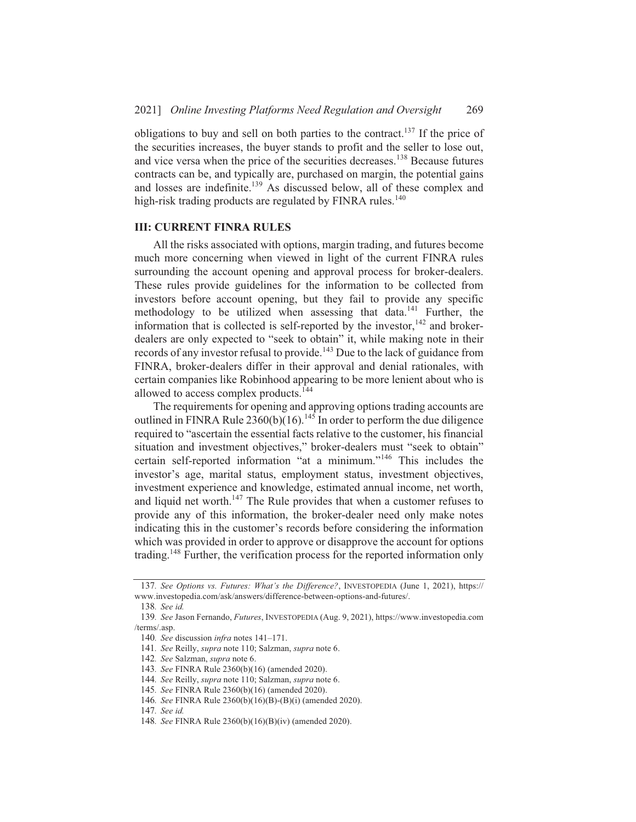obligations to buy and sell on both parties to the contract.<sup>137</sup> If the price of the securities increases, the buyer stands to profit and the seller to lose out, and vice versa when the price of the securities decreases.  $138$  Because futures contracts can be, and typically are, purchased on margin, the potential gains and losses are indefinite.<sup>139</sup> As discussed below, all of these complex and high-risk trading products are regulated by  $FINRA$  rules.<sup>140</sup>

### **III: CURRENT FINRA RULES**

All the risks associated with options, margin trading, and futures become much more concerning when viewed in light of the current FINRA rules surrounding the account opening and approval process for broker-dealers. These rules provide guidelines for the information to be collected from investors before account opening, but they fail to provide any specific methodology to be utilized when assessing that  $\hat{d}$  data,  $141$  Further, the information that is collected is self-reported by the investor.<sup>142</sup> and brokerdealers are only expected to "seek to obtain" it, while making note in their records of any investor refusal to provide.<sup>143</sup> Due to the lack of guidance from FINRA, broker-dealers differ in their approval and denial rationales, with certain companies like Robinhood appearing to be more lenient about who is allowed to access complex products.  $144$ 

The requirements for opening and approving options trading accounts are outlined in FINRA Rule 2360(b)(16).<sup>145</sup> In order to perform the due diligence required to "ascertain the essential facts relative to the customer, his financial situation and investment objectives," broker-dealers must "seek to obtain" certain self-reported information "at a minimum."<sup>146</sup> This includes the investor's age, marital status, employment status, investment objectives. investment experience and knowledge, estimated annual income, net worth, and liquid net worth.<sup>147</sup> The Rule provides that when a customer refuses to provide any of this information, the broker-dealer need only make notes indicating this in the customer's records before considering the information which was provided in order to approve or disapprove the account for options trading.<sup>148</sup> Further, the verification process for the reported information only

<sup>137.</sup> See Options vs. Futures: What's the Difference?, INVESTOPEDIA (June 1, 2021), https:// www.investopedia.com/ask/answers/difference-between-options-and-futures/.

<sup>138.</sup> See id.

<sup>139.</sup> See Jason Fernando, *Futures*, INVESTOPEDIA (Aug. 9, 2021), https://www.investopedia.com /terms/.asp.

<sup>140.</sup> See discussion *infra* notes  $141-171$ .

<sup>141.</sup> See Reilly, supra note 110; Salzman, supra note 6.

<sup>142.</sup> See Salzman, *supra* note 6.

<sup>143.</sup> See FINRA Rule 2360(b)(16) (amended 2020).

<sup>144.</sup> See Reilly, *supra* note 110; Salzman, *supra* note 6.

<sup>145.</sup> See FINRA Rule 2360(b)(16) (amended 2020).

<sup>146.</sup> See FINRA Rule 2360(b)(16)(B)-(B)(i) (amended 2020).

<sup>147.</sup> See id.

<sup>148.</sup> See FINRA Rule 2360(b)(16)(B)(iv) (amended 2020).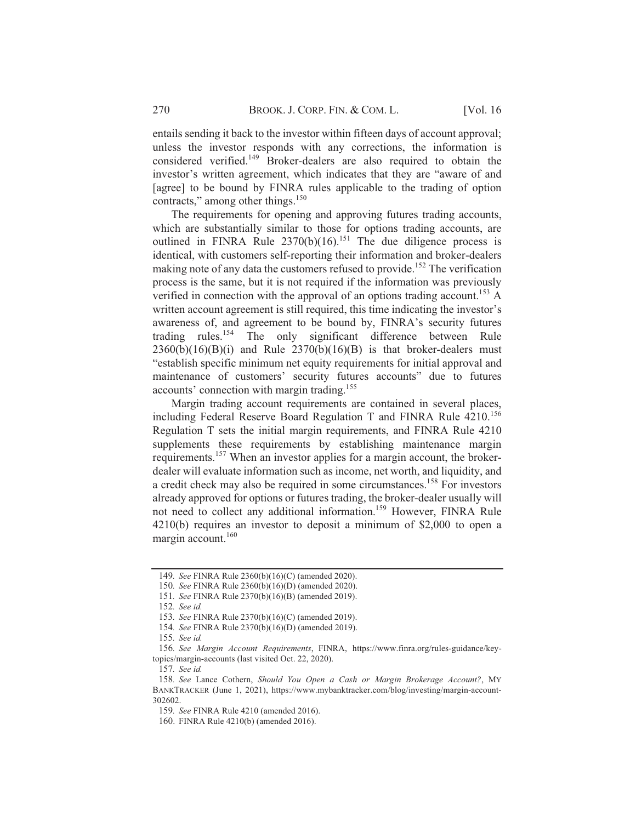entails sending it back to the investor within fifteen days of account approval; unless the investor responds with any corrections, the information is considered verified.<sup>149</sup> Broker-dealers are also required to obtain the investor's written agreement, which indicates that they are "aware of and [agree] to be bound by FINRA rules applicable to the trading of option contracts," among other things.<sup>150</sup>

The requirements for opening and approving futures trading accounts, which are substantially similar to those for options trading accounts, are outlined in FINRA Rule  $2370(b)(16)$ <sup>151</sup> The due diligence process is identical, with customers self-reporting their information and broker-dealers making note of any data the customers refused to provide.<sup>152</sup> The verification process is the same, but it is not required if the information was previously verified in connection with the approval of an options trading account.<sup>153</sup> A written account agreement is still required, this time indicating the investor's awareness of, and agreement to be bound by, FINRA's security futures trading rules.<sup>154</sup> The only significant difference between Rule  $2360(b)(16)(B)(i)$  and Rule  $2370(b)(16)(B)$  is that broker-dealers must "establish specific minimum net equity requirements for initial approval and maintenance of customers' security futures accounts" due to futures accounts' connection with margin trading.<sup>155</sup>

Margin trading account requirements are contained in several places, including Federal Reserve Board Regulation T and FINRA Rule 4210.<sup>156</sup> Regulation T sets the initial margin requirements, and FINRA Rule 4210 supplements these requirements by establishing maintenance margin requirements.<sup>157</sup> When an investor applies for a margin account, the brokerdealer will evaluate information such as income, net worth, and liquidity, and a credit check may also be required in some circumstances.<sup>158</sup> For investors already approved for options or futures trading, the broker-dealer usually will not need to collect any additional information.<sup>159</sup> However, FINRA Rule 4210(b) requires an investor to deposit a minimum of \$2,000 to open a margin account.<sup>160</sup>

<sup>149.</sup> See FINRA Rule 2360(b)(16)(C) (amended 2020).

<sup>150.</sup> See FINRA Rule 2360(b)(16)(D) (amended 2020).

<sup>151.</sup> See FINRA Rule 2370(b)(16)(B) (amended 2019).

<sup>152.</sup> See id.

<sup>153.</sup> See FINRA Rule 2370(b)(16)(C) (amended 2019).

<sup>154.</sup> See FINRA Rule 2370(b)(16)(D) (amended 2019).

<sup>155.</sup> See id.

<sup>156.</sup> See Margin Account Requirements, FINRA, https://www.finra.org/rules-guidance/keytopics/margin-accounts (last visited Oct. 22, 2020).

<sup>157.</sup> See id.

<sup>158.</sup> See Lance Cothern, Should You Open a Cash or Margin Brokerage Account?, MY BANKTRACKER (June 1, 2021), https://www.mybanktracker.com/blog/investing/margin-account-302602

<sup>159.</sup> See FINRA Rule 4210 (amended 2016).

<sup>160.</sup> FINRA Rule 4210(b) (amended 2016).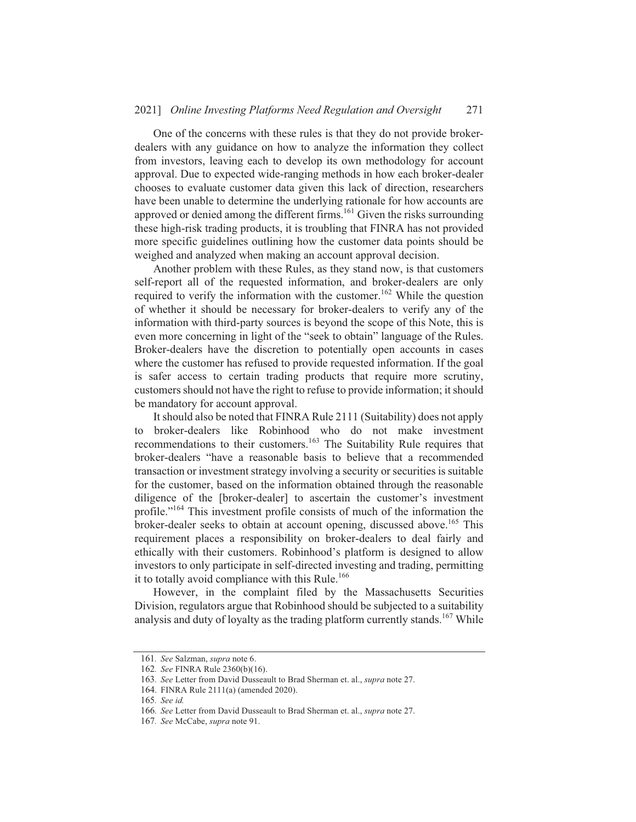#### $20211$  *Online Investing Platforms Need Regulation and Oversight* 271

One of the concerns with these rules is that they do not provide brokerdealers with any guidance on how to analyze the information they collect from investors, leaving each to develop its own methodology for account approval. Due to expected wide-ranging methods in how each broker-dealer chooses to evaluate customer data given this lack of direction, researchers have been unable to determine the underlying rationale for how accounts are approved or denied among the different firms.  $^{161}$  Given the risks surrounding these high-risk trading products, it is troubling that FINRA has not provided more specific guidelines outlining how the customer data points should be weighed and analyzed when making an account approval decision.

Another problem with these Rules, as they stand now, is that customers self-report all of the requested information, and broker-dealers are only required to verify the information with the customer.<sup>162</sup> While the question of whether it should be necessary for broker-dealers to verify any of the information with third-party sources is beyond the scope of this Note, this is even more concerning in light of the "seek to obtain" language of the Rules. Broker-dealers have the discretion to potentially open accounts in cases where the customer has refused to provide requested information. If the goal is safer access to certain trading products that require more scrutiny, customers should not have the right to refuse to provide information; it should be mandatory for account approval.

It should also be noted that FINRA Rule 2111 (Suitability) does not apply to broker-dealers like Robinhood who do not make investment recommendations to their customers.<sup>163</sup> The Suitability Rule requires that broker-dealers "have a reasonable basis to believe that a recommended transaction or investment strategy involving a security or securities is suitable for the customer, based on the information obtained through the reasonable diligence of the [broker-dealer] to ascertain the customer's investment profile."<sup>164</sup> This investment profile consists of much of the information the broker-dealer seeks to obtain at account opening, discussed above.<sup>165</sup> This requirement places a responsibility on broker-dealers to deal fairly and ethically with their customers. Robinhood's platform is designed to allow investors to only participate in self-directed investing and trading, permitting it to totally avoid compliance with this Rule.<sup>166</sup>

However, in the complaint filed by the Massachusetts Securities Division, regulators argue that Robinhood should be subjected to a suitability analysis and duty of lovalty as the trading platform currently stands.<sup>167</sup> While

<sup>161.</sup> See Salzman, *supra* note 6.

<sup>162.</sup> See FINRA Rule 2360(b)(16).

<sup>163.</sup> See Letter from David Dusseault to Brad Sherman et. al., *supra* note 27.

 $164.$  FINRA Rule  $2111(a)$  (amended  $2020$ ).

<sup>165.</sup> See id.

<sup>166.</sup> See Letter from David Dusseault to Brad Sherman et. al., supra note 27.

<sup>167.</sup> See McCabe, supra note 91.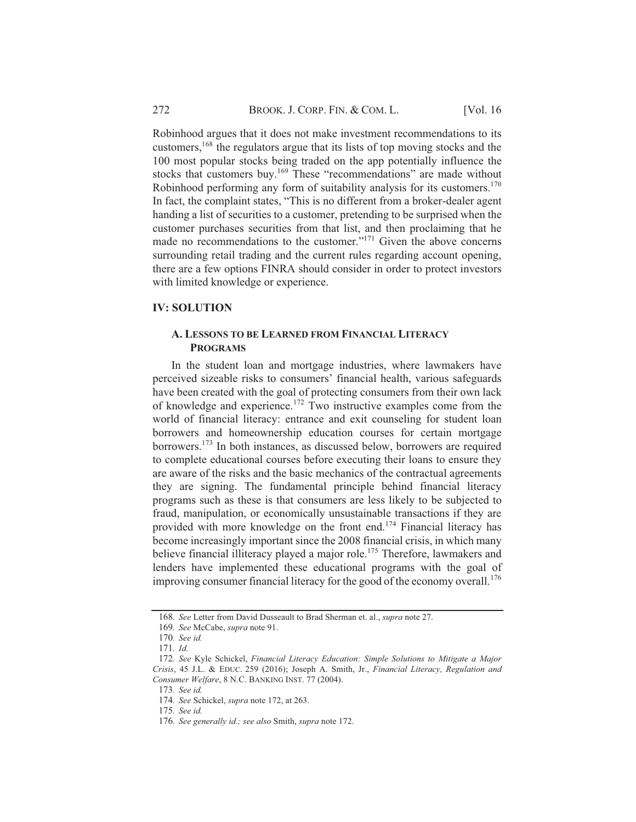Robinhood argues that it does not make investment recommendations to its customers,<sup>168</sup> the regulators argue that its lists of top moving stocks and the 100 most popular stocks being traded on the app potentially influence the stocks that customers buy.<sup>169</sup> These "recommendations" are made without Robinhood performing any form of suitability analysis for its customers.<sup>170</sup> In fact, the complaint states, "This is no different from a broker-dealer agent handing a list of securities to a customer, pretending to be surprised when the customer purchases securities from that list, and then proclaiming that he made no recommendations to the customer."<sup>171</sup> Given the above concerns surrounding retail trading and the current rules regarding account opening, there are a few options FINRA should consider in order to protect investors with limited knowledge or experience.

#### **IV: SOLUTION**

#### A. LESSONS TO BE LEARNED FROM FINANCIAL LITERACY **PROGRAMS**

In the student loan and mortgage industries, where lawmakers have perceived sizeable risks to consumers' financial health, various safeguards have been created with the goal of protecting consumers from their own lack of knowledge and experience.<sup>172</sup> Two instructive examples come from the world of financial literacy: entrance and exit counseling for student loan borrowers and homeownership education courses for certain mortgage borrowers.<sup>173</sup> In both instances, as discussed below, borrowers are required to complete educational courses before executing their loans to ensure they are aware of the risks and the basic mechanics of the contractual agreements they are signing. The fundamental principle behind financial literacy programs such as these is that consumers are less likely to be subjected to fraud, manipulation, or economically unsustainable transactions if they are provided with more knowledge on the front end.<sup>174</sup> Financial literacy has become increasingly important since the 2008 financial crisis, in which many believe financial illiteracy played a major role.<sup>175</sup> Therefore, lawmakers and lenders have implemented these educational programs with the goal of improving consumer financial literacy for the good of the economy overall.<sup>176</sup>

<sup>168.</sup> See Letter from David Dusseault to Brad Sherman et. al., supra note 27.

<sup>169.</sup> See McCabe, supra note 91.

<sup>170.</sup> See id.

 $171.$  *Id.* 

<sup>172.</sup> See Kyle Schickel, Financial Literacy Education: Simple Solutions to Mitigate a Major Crisis, 45 J.L. & EDUC. 259 (2016); Joseph A. Smith, Jr., Financial Literacy, Regulation and Consumer Welfare, 8 N.C. BANKING INST. 77 (2004).

<sup>173.</sup> See id.

<sup>174.</sup> See Schickel, supra note 172, at 263.

<sup>175.</sup> See id.

<sup>176.</sup> See generally id.; see also Smith, supra note 172.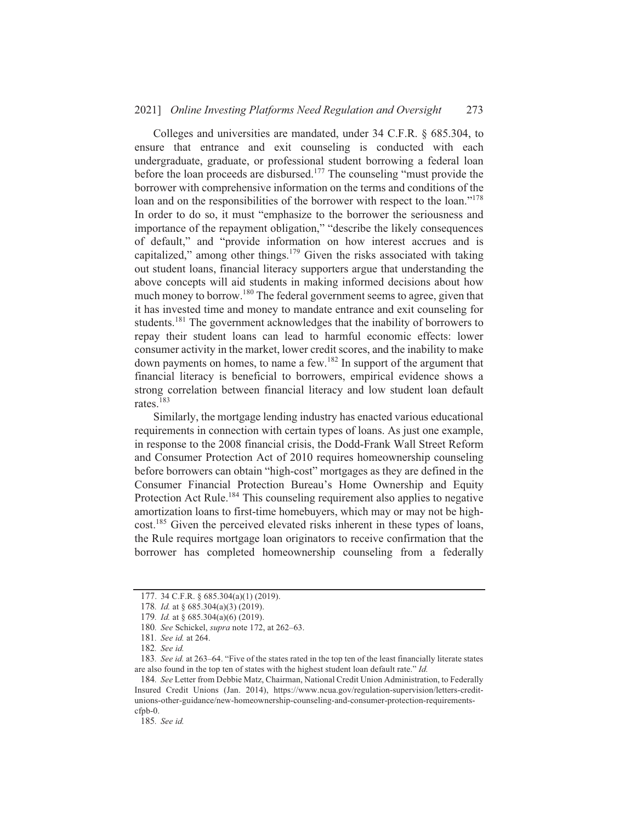#### 2021] Online Investing Platforms Need Regulation and Oversight 273

Colleges and universities are mandated, under 34 C.F.R. § 685.304, to ensure that entrance and exit counseling is conducted with each undergraduate, graduate, or professional student borrowing a federal loan before the loan proceeds are disbursed.<sup>177</sup> The counseling "must provide the borrower with comprehensive information on the terms and conditions of the loan and on the responsibilities of the borrower with respect to the loan."<sup>178</sup> In order to do so, it must "emphasize to the borrower the seriousness and importance of the repayment obligation," "describe the likely consequences of default," and "provide information on how interest accrues and is capitalized," among other things.<sup>179</sup> Given the risks associated with taking out student loans, financial literacy supporters argue that understanding the above concepts will aid students in making informed decisions about how much money to borrow.<sup>180</sup> The federal government seems to agree, given that it has invested time and money to mandate entrance and exit counseling for students.<sup>181</sup> The government acknowledges that the inability of borrowers to repay their student loans can lead to harmful economic effects: lower consumer activity in the market, lower credit scores, and the inability to make down payments on homes, to name a few.<sup>182</sup> In support of the argument that financial literacy is beneficial to borrowers, empirical evidence shows a strong correlation between financial literacy and low student loan default rates  $183$ 

Similarly, the mortgage lending industry has enacted various educational requirements in connection with certain types of loans. As just one example, in response to the 2008 financial crisis, the Dodd-Frank Wall Street Reform and Consumer Protection Act of 2010 requires homeownership counseling before borrowers can obtain "high-cost" mortgages as they are defined in the Consumer Financial Protection Bureau's Home Ownership and Equity Protection Act Rule.<sup>184</sup> This counseling requirement also applies to negative amortization loans to first-time homebuyers, which may or may not be highcost.<sup>185</sup> Given the perceived elevated risks inherent in these types of loans, the Rule requires mortgage loan originators to receive confirmation that the borrower has completed homeownership counseling from a federally

<sup>177. 34</sup> C.F.R. § 685.304(a)(1) (2019).

<sup>178.</sup> Id. at § 685.304(a)(3) (2019).

<sup>179.</sup> Id. at § 685.304(a)(6) (2019).

<sup>180.</sup> See Schickel, supra note 172, at 262-63.

<sup>181.</sup> See id. at 264.

<sup>182.</sup> See id.

<sup>183.</sup> See id. at 263–64. "Five of the states rated in the top ten of the least financially literate states are also found in the top ten of states with the highest student loan default rate." Id.

<sup>184.</sup> See Letter from Debbie Matz, Chairman, National Credit Union Administration, to Federally Insured Credit Unions (Jan. 2014), https://www.ncua.gov/regulation-supervision/letters-creditunions-other-guidance/new-homeownership-counseling-and-consumer-protection-requirements $cfpb-0.$ 

<sup>185.</sup> See id.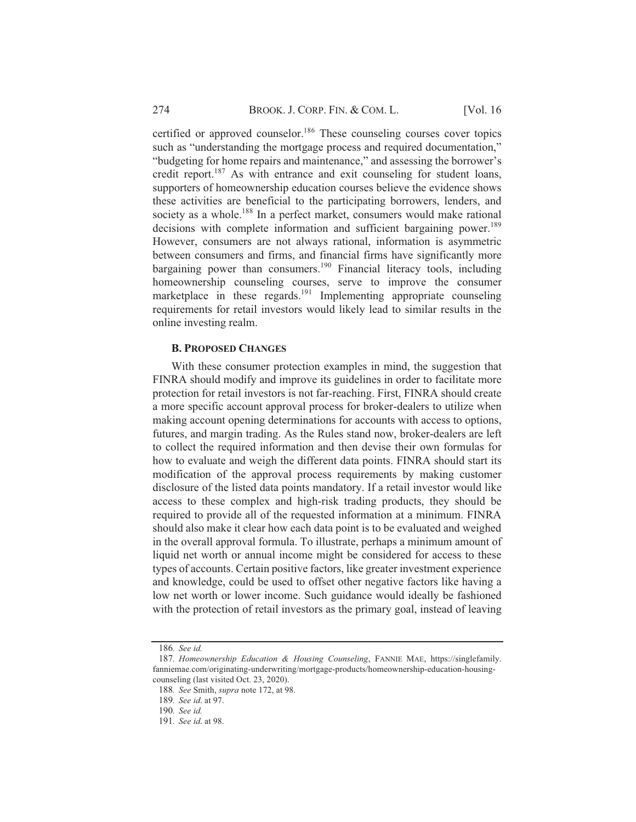certified or approved counselor.<sup>186</sup> These counseling courses cover topics such as "understanding the mortgage process and required documentation," "budgeting for home repairs and maintenance," and assessing the borrower's credit report.<sup>187</sup> As with entrance and exit counseling for student loans, supporters of homeownership education courses believe the evidence shows these activities are beneficial to the participating borrowers, lenders, and society as a whole.<sup>188</sup> In a perfect market, consumers would make rational decisions with complete information and sufficient bargaining power.<sup>189</sup> However, consumers are not always rational, information is asymmetric between consumers and firms, and financial firms have significantly more bargaining power than consumers.<sup>190</sup> Financial literacy tools, including homeownership counseling courses, serve to improve the consumer marketplace in these regards.<sup>191</sup> Implementing appropriate counseling requirements for retail investors would likely lead to similar results in the online investing realm.

#### **B. PROPOSED CHANGES**

With these consumer protection examples in mind, the suggestion that FINRA should modify and improve its guidelines in order to facilitate more protection for retail investors is not far-reaching. First, FINRA should create a more specific account approval process for broker-dealers to utilize when making account opening determinations for accounts with access to options, futures, and margin trading. As the Rules stand now, broker-dealers are left to collect the required information and then devise their own formulas for how to evaluate and weigh the different data points. FINRA should start its modification of the approval process requirements by making customer disclosure of the listed data points mandatory. If a retail investor would like access to these complex and high-risk trading products, they should be required to provide all of the requested information at a minimum. FINRA should also make it clear how each data point is to be evaluated and weighed in the overall approval formula. To illustrate, perhaps a minimum amount of liquid net worth or annual income might be considered for access to these types of accounts. Certain positive factors, like greater investment experience and knowledge, could be used to offset other negative factors like having a low net worth or lower income. Such guidance would ideally be fashioned with the protection of retail investors as the primary goal, instead of leaving

<sup>186.</sup> See id.

<sup>187.</sup> Homeownership Education & Housing Counseling, FANNIE MAE, https://singlefamily. fanniemae.com/originating-underwriting/mortgage-products/homeownership-education-housingcounseling (last visited Oct. 23, 2020).

<sup>188.</sup> See Smith, supra note 172, at 98.

<sup>189</sup>  $See$  id at 97

<sup>190.</sup> See id.

<sup>191.</sup> See id. at 98.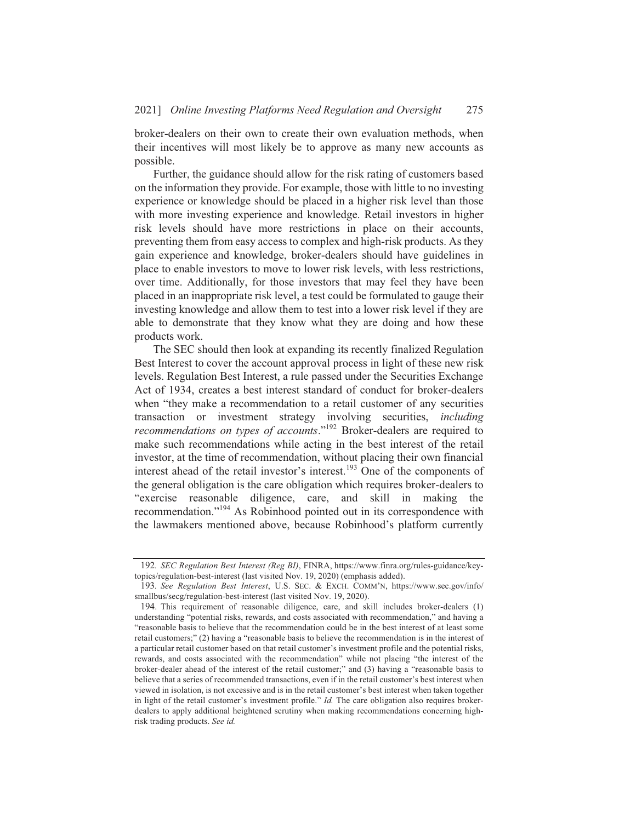broker-dealers on their own to create their own evaluation methods, when their incentives will most likely be to approve as many new accounts as possible.

Further, the guidance should allow for the risk rating of customers based on the information they provide. For example, those with little to no investing experience or knowledge should be placed in a higher risk level than those with more investing experience and knowledge. Retail investors in higher risk levels should have more restrictions in place on their accounts, preventing them from easy access to complex and high-risk products. As they gain experience and knowledge, broker-dealers should have guidelines in place to enable investors to move to lower risk levels, with less restrictions, over time. Additionally, for those investors that may feel they have been placed in an inappropriate risk level, a test could be formulated to gauge their investing knowledge and allow them to test into a lower risk level if they are able to demonstrate that they know what they are doing and how these products work.

The SEC should then look at expanding its recently finalized Regulation Best Interest to cover the account approval process in light of these new risk levels. Regulation Best Interest, a rule passed under the Securities Exchange Act of 1934, creates a best interest standard of conduct for broker-dealers when "they make a recommendation to a retail customer of any securities transaction or investment strategy involving securities, *including recommendations on types of accounts.*<sup>192</sup> Broker-dealers are required to make such recommendations while acting in the best interest of the retail investor, at the time of recommendation, without placing their own financial interest ahead of the retail investor's interest.<sup>193</sup> One of the components of the general obligation is the care obligation which requires broker-dealers to "exercise reasonable diligence, care, and skill in making the recommendation."<sup>194</sup> As Robinhood pointed out in its correspondence with the lawmakers mentioned above, because Robinhood's platform currently

<sup>192.</sup> *SEC Regulation Best Interest (Reg BI)*, FINRA, https://www.finra.org/rules-guidance/keytopics/regulation-best-interest (last visited Nov. 19, 2020) (emphasis added).

<sup>193.</sup> See Regulation Best Interest. U.S. SEC. & EXCH. COMM'N. https://www.sec.gov/info/  $smallbus/sec_2/reulation-best-interest (last visited Nov. 19, 2020).$ 

<sup>194.</sup> This requirement of reasonable diligence, care, and skill includes broker-dealers (1) understanding "potential risks, rewards, and costs associated with recommendation." and having a "reasonable basis to believe that the recommendation could be in the best interest of at least some retail customers:" (2) having a "reasonable basis to believe the recommendation is in the interest of a particular retail customer based on that retail customer's investment profile and the potential risks. rewards, and costs associated with the recommendation" while not placing "the interest of the broker-dealer ahead of the interest of the retail customer:" and  $(3)$  having a "reasonable basis to believe that a series of recommended transactions, even if in the retail customer's best interest when viewed in isolation, is not excessive and is in the retail customer's best interest when taken together in light of the retail customer's investment profile."  $Id$ . The care obligation also requires brokerdealers to apply additional heightened scrutiny when making recommendations concerning highrisk trading products. See id.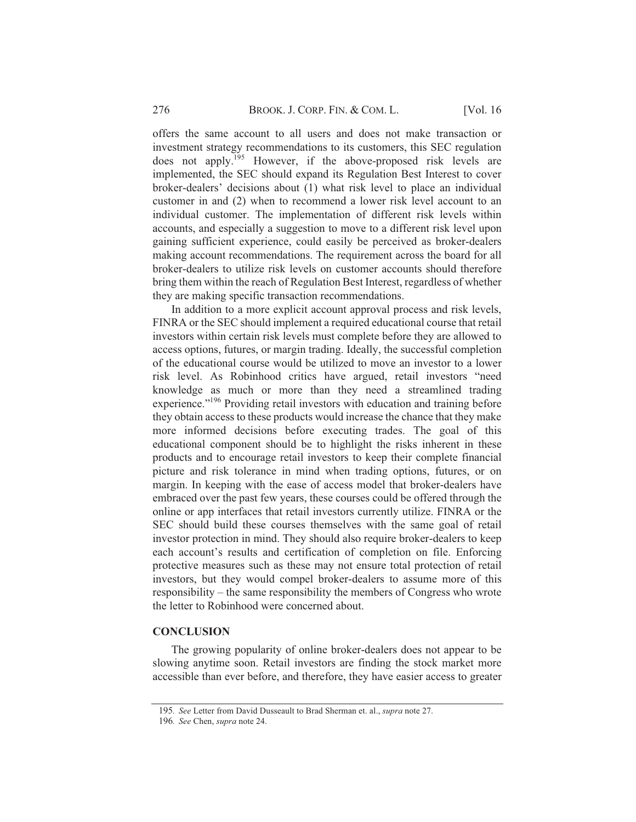offers the same account to all users and does not make transaction or investment strategy recommendations to its customers, this SEC regulation does not apply.<sup>195</sup> However, if the above-proposed risk levels are implemented, the SEC should expand its Regulation Best Interest to cover broker-dealers' decisions about (1) what risk level to place an individual customer in and (2) when to recommend a lower risk level account to an individual customer. The implementation of different risk levels within accounts, and especially a suggestion to move to a different risk level upon gaining sufficient experience, could easily be perceived as broker-dealers making account recommendations. The requirement across the board for all broker-dealers to utilize risk levels on customer accounts should therefore bring them within the reach of Regulation Best Interest, regardless of whether they are making specific transaction recommendations.

In addition to a more explicit account approval process and risk levels, FINRA or the SEC should implement a required educational course that retail investors within certain risk levels must complete before they are allowed to access options, futures, or margin trading. Ideally, the successful completion of the educational course would be utilized to move an investor to a lower risk level. As Robinhood critics have argued, retail investors "need knowledge as much or more than they need a streamlined trading experience."<sup>196</sup> Providing retail investors with education and training before they obtain access to these products would increase the chance that they make more informed decisions before executing trades. The goal of this educational component should be to highlight the risks inherent in these products and to encourage retail investors to keep their complete financial picture and risk tolerance in mind when trading options, futures, or on margin. In keeping with the ease of access model that broker-dealers have embraced over the past few years, these courses could be offered through the online or app interfaces that retail investors currently utilize. FINRA or the SEC should build these courses themselves with the same goal of retail investor protection in mind. They should also require broker-dealers to keep each account's results and certification of completion on file. Enforcing protective measures such as these may not ensure total protection of retail investors, but they would compel broker-dealers to assume more of this responsibility – the same responsibility the members of Congress who wrote the letter to Robinhood were concerned about.

#### **CONCLUSION**

The growing popularity of online broker-dealers does not appear to be slowing anytime soon. Retail investors are finding the stock market more accessible than ever before, and therefore, they have easier access to greater

<sup>195.</sup> See Letter from David Dusseault to Brad Sherman et. al., supra note 27.

<sup>196.</sup> See Chen, supra note 24.